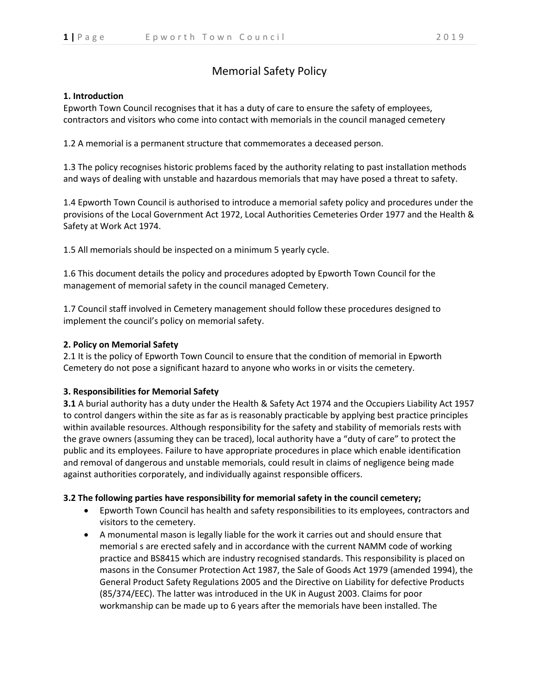# Memorial Safety Policy

## **1. Introduction**

Epworth Town Council recognises that it has a duty of care to ensure the safety of employees, contractors and visitors who come into contact with memorials in the council managed cemetery

1.2 A memorial is a permanent structure that commemorates a deceased person.

1.3 The policy recognises historic problems faced by the authority relating to past installation methods and ways of dealing with unstable and hazardous memorials that may have posed a threat to safety.

1.4 Epworth Town Council is authorised to introduce a memorial safety policy and procedures under the provisions of the Local Government Act 1972, Local Authorities Cemeteries Order 1977 and the Health & Safety at Work Act 1974.

1.5 All memorials should be inspected on a minimum 5 yearly cycle.

1.6 This document details the policy and procedures adopted by Epworth Town Council for the management of memorial safety in the council managed Cemetery.

1.7 Council staff involved in Cemetery management should follow these procedures designed to implement the council's policy on memorial safety.

# **2. Policy on Memorial Safety**

2.1 It is the policy of Epworth Town Council to ensure that the condition of memorial in Epworth Cemetery do not pose a significant hazard to anyone who works in or visits the cemetery.

# **3. Responsibilities for Memorial Safety**

**3.1** A burial authority has a duty under the Health & Safety Act 1974 and the Occupiers Liability Act 1957 to control dangers within the site as far as is reasonably practicable by applying best practice principles within available resources. Although responsibility for the safety and stability of memorials rests with the grave owners (assuming they can be traced), local authority have a "duty of care" to protect the public and its employees. Failure to have appropriate procedures in place which enable identification and removal of dangerous and unstable memorials, could result in claims of negligence being made against authorities corporately, and individually against responsible officers.

#### **3.2 The following parties have responsibility for memorial safety in the council cemetery;**

- Epworth Town Council has health and safety responsibilities to its employees, contractors and visitors to the cemetery.
- A monumental mason is legally liable for the work it carries out and should ensure that memorial s are erected safely and in accordance with the current NAMM code of working practice and BS8415 which are industry recognised standards. This responsibility is placed on masons in the Consumer Protection Act 1987, the Sale of Goods Act 1979 (amended 1994), the General Product Safety Regulations 2005 and the Directive on Liability for defective Products (85/374/EEC). The latter was introduced in the UK in August 2003. Claims for poor workmanship can be made up to 6 years after the memorials have been installed. The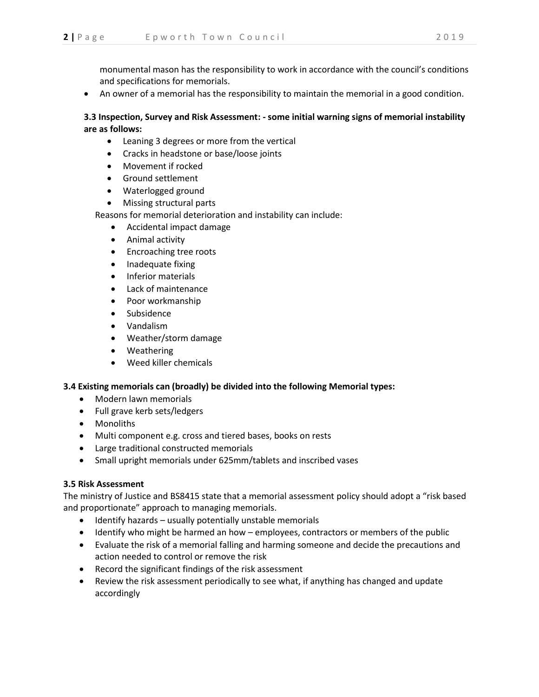monumental mason has the responsibility to work in accordance with the council's conditions and specifications for memorials.

• An owner of a memorial has the responsibility to maintain the memorial in a good condition.

# **3.3 Inspection, Survey and Risk Assessment: - some initial warning signs of memorial instability are as follows:**

- Leaning 3 degrees or more from the vertical
- Cracks in headstone or base/loose joints
- Movement if rocked
- Ground settlement
- Waterlogged ground
- Missing structural parts

Reasons for memorial deterioration and instability can include:

- Accidental impact damage
- Animal activity
- Encroaching tree roots
- Inadequate fixing
- Inferior materials
- Lack of maintenance
- Poor workmanship
- **Subsidence**
- Vandalism
- Weather/storm damage
- Weathering
- Weed killer chemicals

#### **3.4 Existing memorials can (broadly) be divided into the following Memorial types:**

- Modern lawn memorials
- Full grave kerb sets/ledgers
- Monoliths
- Multi component e.g. cross and tiered bases, books on rests
- Large traditional constructed memorials
- Small upright memorials under 625mm/tablets and inscribed vases

#### **3.5 Risk Assessment**

The ministry of Justice and BS8415 state that a memorial assessment policy should adopt a "risk based and proportionate" approach to managing memorials.

- Identify hazards usually potentially unstable memorials
- Identify who might be harmed an how employees, contractors or members of the public
- Evaluate the risk of a memorial falling and harming someone and decide the precautions and action needed to control or remove the risk
- Record the significant findings of the risk assessment
- Review the risk assessment periodically to see what, if anything has changed and update accordingly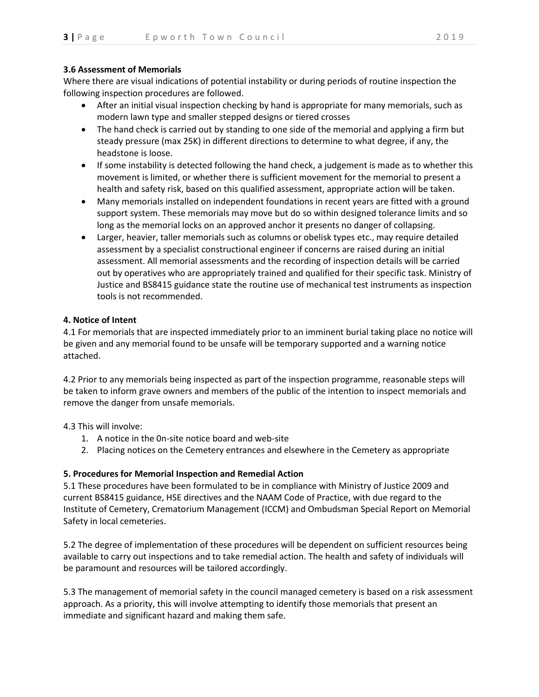#### **3.6 Assessment of Memorials**

Where there are visual indications of potential instability or during periods of routine inspection the following inspection procedures are followed.

- After an initial visual inspection checking by hand is appropriate for many memorials, such as modern lawn type and smaller stepped designs or tiered crosses
- The hand check is carried out by standing to one side of the memorial and applying a firm but steady pressure (max 25K) in different directions to determine to what degree, if any, the headstone is loose.
- If some instability is detected following the hand check, a judgement is made as to whether this movement is limited, or whether there is sufficient movement for the memorial to present a health and safety risk, based on this qualified assessment, appropriate action will be taken.
- Many memorials installed on independent foundations in recent years are fitted with a ground support system. These memorials may move but do so within designed tolerance limits and so long as the memorial locks on an approved anchor it presents no danger of collapsing.
- Larger, heavier, taller memorials such as columns or obelisk types etc., may require detailed assessment by a specialist constructional engineer if concerns are raised during an initial assessment. All memorial assessments and the recording of inspection details will be carried out by operatives who are appropriately trained and qualified for their specific task. Ministry of Justice and BS8415 guidance state the routine use of mechanical test instruments as inspection tools is not recommended.

#### **4. Notice of Intent**

4.1 For memorials that are inspected immediately prior to an imminent burial taking place no notice will be given and any memorial found to be unsafe will be temporary supported and a warning notice attached.

4.2 Prior to any memorials being inspected as part of the inspection programme, reasonable steps will be taken to inform grave owners and members of the public of the intention to inspect memorials and remove the danger from unsafe memorials.

4.3 This will involve:

- 1. A notice in the 0n-site notice board and web-site
- 2. Placing notices on the Cemetery entrances and elsewhere in the Cemetery as appropriate

# **5. Procedures for Memorial Inspection and Remedial Action**

5.1 These procedures have been formulated to be in compliance with Ministry of Justice 2009 and current BS8415 guidance, HSE directives and the NAAM Code of Practice, with due regard to the Institute of Cemetery, Crematorium Management (ICCM) and Ombudsman Special Report on Memorial Safety in local cemeteries.

5.2 The degree of implementation of these procedures will be dependent on sufficient resources being available to carry out inspections and to take remedial action. The health and safety of individuals will be paramount and resources will be tailored accordingly.

5.3 The management of memorial safety in the council managed cemetery is based on a risk assessment approach. As a priority, this will involve attempting to identify those memorials that present an immediate and significant hazard and making them safe.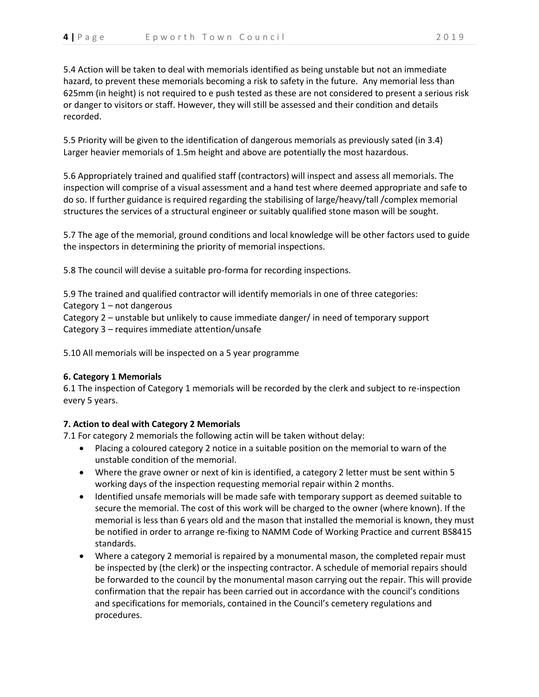5.4 Action will be taken to deal with memorials identified as being unstable but not an immediate hazard, to prevent these memorials becoming a risk to safety in the future. Any memorial less than 625mm (in height) is not required to e push tested as these are not considered to present a serious risk or danger to visitors or staff. However, they will still be assessed and their condition and details recorded.

5.5 Priority will be given to the identification of dangerous memorials as previously sated (in 3.4) Larger heavier memorials of 1.5m height and above are potentially the most hazardous.

5.6 Appropriately trained and qualified staff (contractors) will inspect and assess all memorials. The inspection will comprise of a visual assessment and a hand test where deemed appropriate and safe to do so. If further guidance is required regarding the stabilising of large/heavy/tall /complex memorial structures the services of a structural engineer or suitably qualified stone mason will be sought.

5.7 The age of the memorial, ground conditions and local knowledge will be other factors used to guide the inspectors in determining the priority of memorial inspections.

5.8 The council will devise a suitable pro-forma for recording inspections.

5.9 The trained and qualified contractor will identify memorials in one of three categories: Category 1 – not dangerous Category 2 – unstable but unlikely to cause immediate danger/ in need of temporary support Category 3 – requires immediate attention/unsafe

5.10 All memorials will be inspected on a 5 year programme

# **6. Category 1 Memorials**

6.1 The inspection of Category 1 memorials will be recorded by the clerk and subject to re-inspection every 5 years.

# **7. Action to deal with Category 2 Memorials**

7.1 For category 2 memorials the following actin will be taken without delay:

- Placing a coloured category 2 notice in a suitable position on the memorial to warn of the unstable condition of the memorial.
- Where the grave owner or next of kin is identified, a category 2 letter must be sent within 5 working days of the inspection requesting memorial repair within 2 months.
- Identified unsafe memorials will be made safe with temporary support as deemed suitable to secure the memorial. The cost of this work will be charged to the owner (where known). If the memorial is less than 6 years old and the mason that installed the memorial is known, they must be notified in order to arrange re-fixing to NAMM Code of Working Practice and current BS8415 standards.
- Where a category 2 memorial is repaired by a monumental mason, the completed repair must be inspected by (the clerk) or the inspecting contractor. A schedule of memorial repairs should be forwarded to the council by the monumental mason carrying out the repair. This will provide confirmation that the repair has been carried out in accordance with the council's conditions and specifications for memorials, contained in the Council's cemetery regulations and procedures.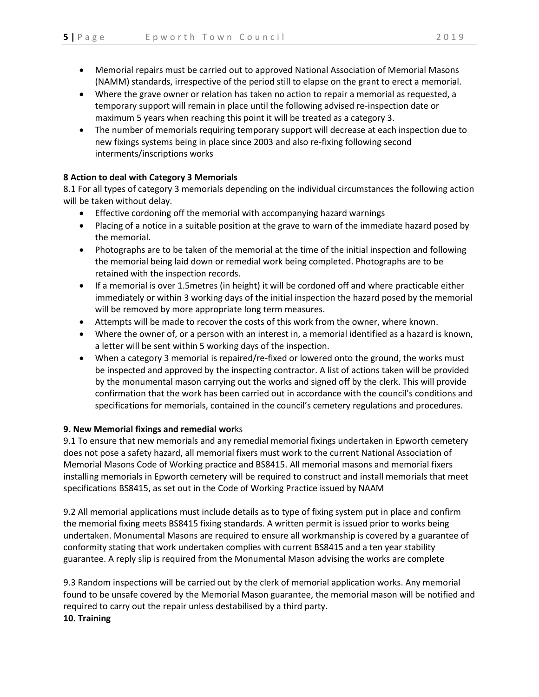- Memorial repairs must be carried out to approved National Association of Memorial Masons (NAMM) standards, irrespective of the period still to elapse on the grant to erect a memorial.
- Where the grave owner or relation has taken no action to repair a memorial as requested, a temporary support will remain in place until the following advised re-inspection date or maximum 5 years when reaching this point it will be treated as a category 3.
- The number of memorials requiring temporary support will decrease at each inspection due to new fixings systems being in place since 2003 and also re-fixing following second interments/inscriptions works

# **8 Action to deal with Category 3 Memorials**

8.1 For all types of category 3 memorials depending on the individual circumstances the following action will be taken without delay.

- Effective cordoning off the memorial with accompanying hazard warnings
- Placing of a notice in a suitable position at the grave to warn of the immediate hazard posed by the memorial.
- Photographs are to be taken of the memorial at the time of the initial inspection and following the memorial being laid down or remedial work being completed. Photographs are to be retained with the inspection records.
- If a memorial is over 1.5metres (in height) it will be cordoned off and where practicable either immediately or within 3 working days of the initial inspection the hazard posed by the memorial will be removed by more appropriate long term measures.
- Attempts will be made to recover the costs of this work from the owner, where known.
- Where the owner of, or a person with an interest in, a memorial identified as a hazard is known, a letter will be sent within 5 working days of the inspection.
- When a category 3 memorial is repaired/re-fixed or lowered onto the ground, the works must be inspected and approved by the inspecting contractor. A list of actions taken will be provided by the monumental mason carrying out the works and signed off by the clerk. This will provide confirmation that the work has been carried out in accordance with the council's conditions and specifications for memorials, contained in the council's cemetery regulations and procedures.

# **9. New Memorial fixings and remedial wor**ks

9.1 To ensure that new memorials and any remedial memorial fixings undertaken in Epworth cemetery does not pose a safety hazard, all memorial fixers must work to the current National Association of Memorial Masons Code of Working practice and BS8415. All memorial masons and memorial fixers installing memorials in Epworth cemetery will be required to construct and install memorials that meet specifications BS8415, as set out in the Code of Working Practice issued by NAAM

9.2 All memorial applications must include details as to type of fixing system put in place and confirm the memorial fixing meets BS8415 fixing standards. A written permit is issued prior to works being undertaken. Monumental Masons are required to ensure all workmanship is covered by a guarantee of conformity stating that work undertaken complies with current BS8415 and a ten year stability guarantee. A reply slip is required from the Monumental Mason advising the works are complete

9.3 Random inspections will be carried out by the clerk of memorial application works. Any memorial found to be unsafe covered by the Memorial Mason guarantee, the memorial mason will be notified and required to carry out the repair unless destabilised by a third party. **10. Training**